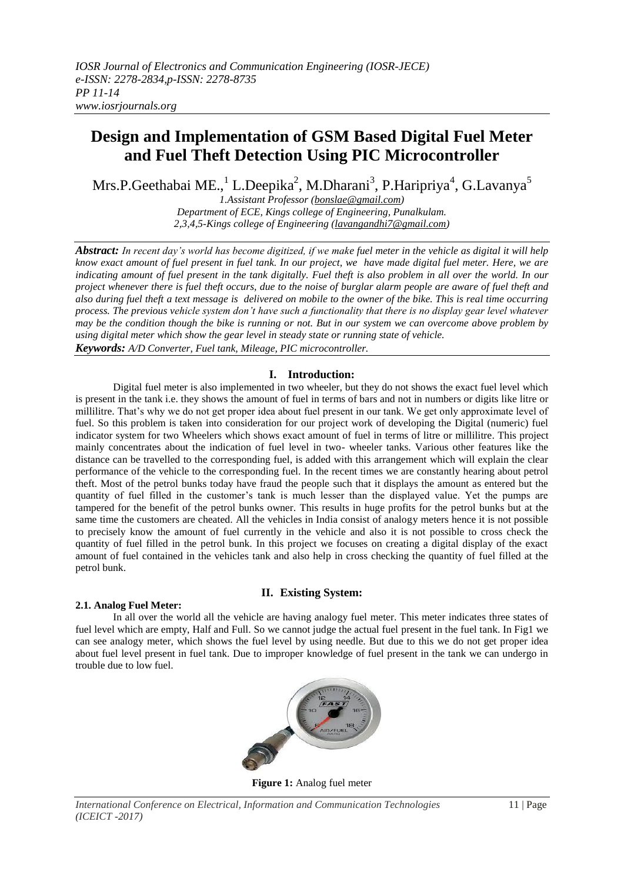# **Design and Implementation of GSM Based Digital Fuel Meter and Fuel Theft Detection Using PIC Microcontroller**

Mrs.P.Geethabai ME.,<sup>1</sup> L.Deepika<sup>2</sup>, M.Dharani<sup>3</sup>, P.Haripriya<sup>4</sup>, G.Lavanya<sup>5</sup>

*1.Assistant Professor [\(bonslae@gmail.com\)](mailto:bonslae@gmail.com) Department of ECE, Kings college of Engineering, Punalkulam. 2,3,4,5-Kings college of Engineering [\(lavangandhi7@gmail.com\)](mailto:lavangandhi7@gmail.com)*

*Abstract: In recent day's world has become digitized, if we make fuel meter in the vehicle as digital it will help know exact amount of fuel present in fuel tank. In our project, we have made digital fuel meter. Here, we are indicating amount of fuel present in the tank digitally. Fuel theft is also problem in all over the world. In our project whenever there is fuel theft occurs, due to the noise of burglar alarm people are aware of fuel theft and also during fuel theft a text message is delivered on mobile to the owner of the bike. This is real time occurring process. The previous vehicle system don't have such a functionality that there is no display gear level whatever may be the condition though the bike is running or not. But in our system we can overcome above problem by using digital meter which show the gear level in steady state or running state of vehicle.*

*Keywords: A/D Converter, Fuel tank, Mileage, PIC microcontroller.*

# **I. Introduction:**

Digital fuel meter is also implemented in two wheeler, but they do not shows the exact fuel level which is present in the tank i.e. they shows the amount of fuel in terms of bars and not in numbers or digits like litre or millilitre. That's why we do not get proper idea about fuel present in our tank. We get only approximate level of fuel. So this problem is taken into consideration for our project work of developing the Digital (numeric) fuel indicator system for two Wheelers which shows exact amount of fuel in terms of litre or millilitre. This project mainly concentrates about the indication of fuel level in two- wheeler tanks. Various other features like the distance can be travelled to the corresponding fuel, is added with this arrangement which will explain the clear performance of the vehicle to the corresponding fuel. In the recent times we are constantly hearing about petrol theft. Most of the petrol bunks today have fraud the people such that it displays the amount as entered but the quantity of fuel filled in the customer's tank is much lesser than the displayed value. Yet the pumps are tampered for the benefit of the petrol bunks owner. This results in huge profits for the petrol bunks but at the same time the customers are cheated. All the vehicles in India consist of analogy meters hence it is not possible to precisely know the amount of fuel currently in the vehicle and also it is not possible to cross check the quantity of fuel filled in the petrol bunk. In this project we focuses on creating a digital display of the exact amount of fuel contained in the vehicles tank and also help in cross checking the quantity of fuel filled at the petrol bunk.

# **II. Existing System:**

# **2.1. Analog Fuel Meter:**

In all over the world all the vehicle are having analogy fuel meter. This meter indicates three states of fuel level which are empty, Half and Full. So we cannot judge the actual fuel present in the fuel tank. In Fig1 we can see analogy meter, which shows the fuel level by using needle. But due to this we do not get proper idea about fuel level present in fuel tank. Due to improper knowledge of fuel present in the tank we can undergo in trouble due to low fuel.



**Figure 1:** Analog fuel meter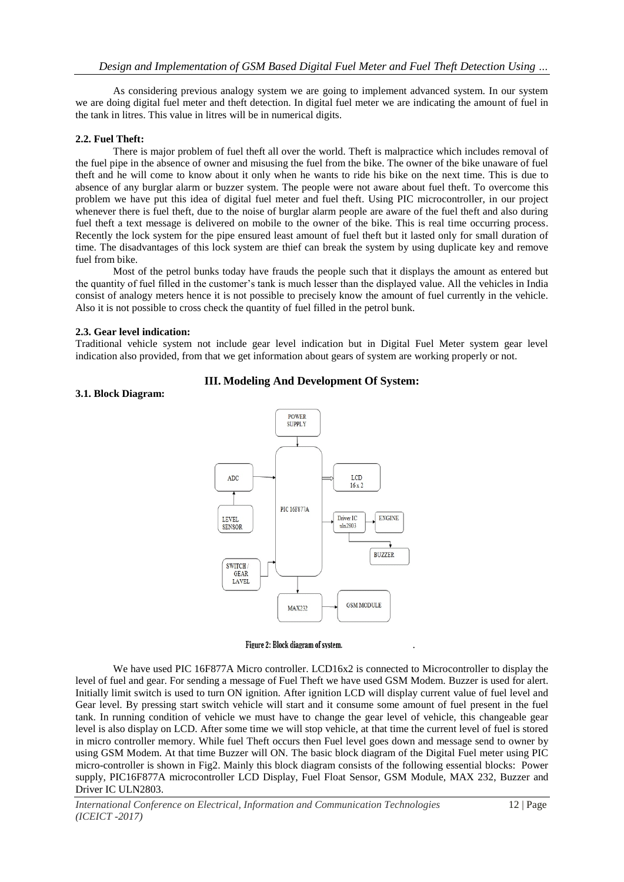As considering previous analogy system we are going to implement advanced system. In our system we are doing digital fuel meter and theft detection. In digital fuel meter we are indicating the amount of fuel in the tank in litres. This value in litres will be in numerical digits.

#### **2.2. Fuel Theft:**

There is major problem of fuel theft all over the world. Theft is malpractice which includes removal of the fuel pipe in the absence of owner and misusing the fuel from the bike. The owner of the bike unaware of fuel theft and he will come to know about it only when he wants to ride his bike on the next time. This is due to absence of any burglar alarm or buzzer system. The people were not aware about fuel theft. To overcome this problem we have put this idea of digital fuel meter and fuel theft. Using PIC microcontroller, in our project whenever there is fuel theft, due to the noise of burglar alarm people are aware of the fuel theft and also during fuel theft a text message is delivered on mobile to the owner of the bike. This is real time occurring process. Recently the lock system for the pipe ensured least amount of fuel theft but it lasted only for small duration of time. The disadvantages of this lock system are thief can break the system by using duplicate key and remove fuel from bike.

Most of the petrol bunks today have frauds the people such that it displays the amount as entered but the quantity of fuel filled in the customer's tank is much lesser than the displayed value. All the vehicles in India consist of analogy meters hence it is not possible to precisely know the amount of fuel currently in the vehicle. Also it is not possible to cross check the quantity of fuel filled in the petrol bunk.

#### **2.3. Gear level indication:**

Traditional vehicle system not include gear level indication but in Digital Fuel Meter system gear level indication also provided, from that we get information about gears of system are working properly or not.

#### **3.1. Block Diagram:**



#### Figure 2: Block diagram of system.

We have used PIC 16F877A Micro controller. LCD16x2 is connected to Microcontroller to display the level of fuel and gear. For sending a message of Fuel Theft we have used GSM Modem. Buzzer is used for alert. Initially limit switch is used to turn ON ignition. After ignition LCD will display current value of fuel level and Gear level. By pressing start switch vehicle will start and it consume some amount of fuel present in the fuel tank. In running condition of vehicle we must have to change the gear level of vehicle, this changeable gear level is also display on LCD. After some time we will stop vehicle, at that time the current level of fuel is stored in micro controller memory. While fuel Theft occurs then Fuel level goes down and message send to owner by using GSM Modem. At that time Buzzer will ON. The basic block diagram of the Digital Fuel meter using PIC micro-controller is shown in Fig2. Mainly this block diagram consists of the following essential blocks: Power supply, PIC16F877A microcontroller LCD Display, Fuel Float Sensor, GSM Module, MAX 232, Buzzer and Driver IC ULN2803.

.

# **III. Modeling And Development Of System:**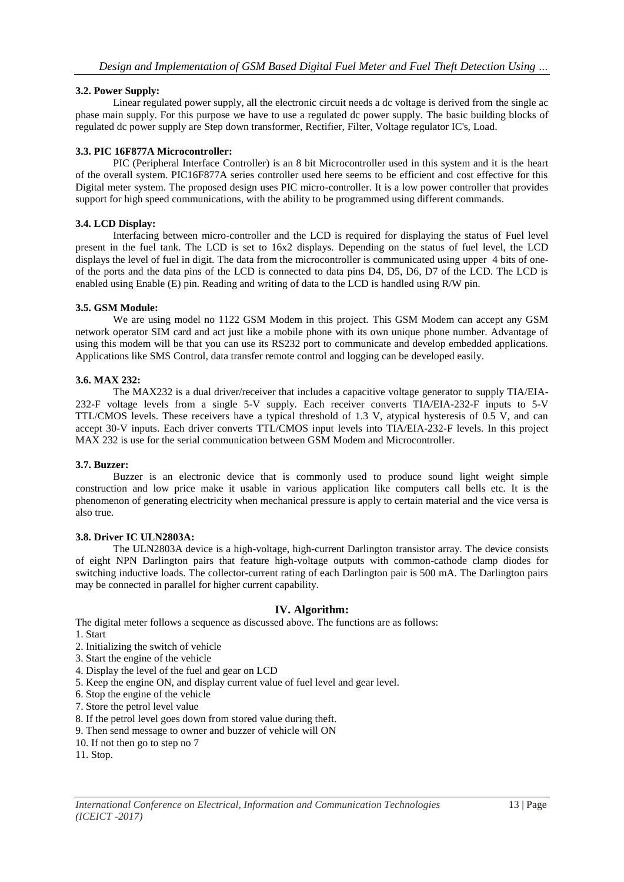# **3.2. Power Supply:**

Linear regulated power supply, all the electronic circuit needs a dc voltage is derived from the single ac phase main supply. For this purpose we have to use a regulated dc power supply. The basic building blocks of regulated dc power supply are Step down transformer, Rectifier, Filter, Voltage regulator IC's, Load.

# **3.3. PIC 16F877A Microcontroller:**

PIC (Peripheral Interface Controller) is an 8 bit Microcontroller used in this system and it is the heart of the overall system. PIC16F877A series controller used here seems to be efficient and cost effective for this Digital meter system. The proposed design uses PIC micro-controller. It is a low power controller that provides support for high speed communications, with the ability to be programmed using different commands.

# **3.4. LCD Display:**

Interfacing between micro-controller and the LCD is required for displaying the status of Fuel level present in the fuel tank. The LCD is set to 16x2 displays. Depending on the status of fuel level, the LCD displays the level of fuel in digit. The data from the microcontroller is communicated using upper 4 bits of oneof the ports and the data pins of the LCD is connected to data pins D4, D5, D6, D7 of the LCD. The LCD is enabled using Enable (E) pin. Reading and writing of data to the LCD is handled using R/W pin.

# **3.5. GSM Module:**

We are using model no 1122 GSM Modem in this project. This GSM Modem can accept any GSM network operator SIM card and act just like a mobile phone with its own unique phone number. Advantage of using this modem will be that you can use its RS232 port to communicate and develop embedded applications. Applications like SMS Control, data transfer remote control and logging can be developed easily.

#### **3.6. MAX 232:**

The MAX232 is a dual driver/receiver that includes a capacitive voltage generator to supply TIA/EIA-232-F voltage levels from a single 5-V supply. Each receiver converts TIA/EIA-232-F inputs to 5-V TTL/CMOS levels. These receivers have a typical threshold of 1.3 V, atypical hysteresis of 0.5 V, and can accept 30-V inputs. Each driver converts TTL/CMOS input levels into TIA/EIA-232-F levels. In this project MAX 232 is use for the serial communication between GSM Modem and Microcontroller.

#### **3.7. Buzzer:**

Buzzer is an electronic device that is commonly used to produce sound light weight simple construction and low price make it usable in various application like computers call bells etc. It is the phenomenon of generating electricity when mechanical pressure is apply to certain material and the vice versa is also true.

#### **3.8. Driver IC ULN2803A:**

The ULN2803A device is a high-voltage, high-current Darlington transistor array. The device consists of eight NPN Darlington pairs that feature high-voltage outputs with common-cathode clamp diodes for switching inductive loads. The collector-current rating of each Darlington pair is 500 mA. The Darlington pairs may be connected in parallel for higher current capability.

# **IV. Algorithm:**

The digital meter follows a sequence as discussed above. The functions are as follows:

- 1. Start
- 2. Initializing the switch of vehicle
- 3. Start the engine of the vehicle
- 4. Display the level of the fuel and gear on LCD
- 5. Keep the engine ON, and display current value of fuel level and gear level.
- 6. Stop the engine of the vehicle
- 7. Store the petrol level value
- 8. If the petrol level goes down from stored value during theft.
- 9. Then send message to owner and buzzer of vehicle will ON
- 10. If not then go to step no 7
- 11. Stop.